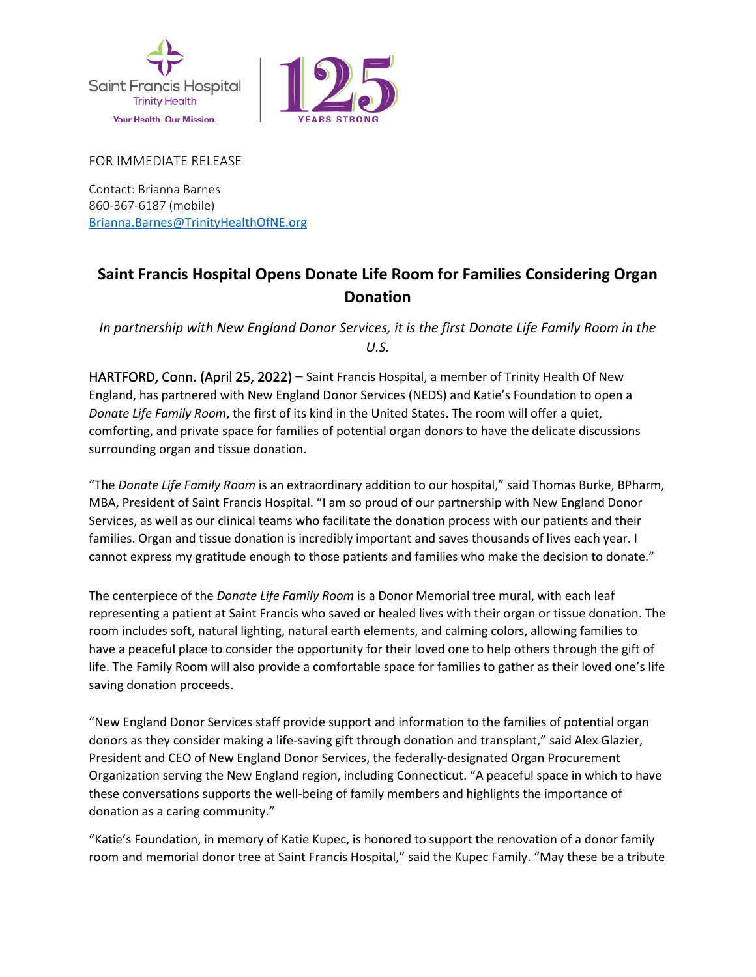



FOR IMMEDIATE RELEASE

Contact: Brianna Barnes 860-367-6187 (mobile) [Brianna.Barnes@TrinityHealthOfNE.org](mailto:Brianna.Barnes@TrinityHealthOfNE.org)

## **Saint Francis Hospital Opens Donate Life Room for Families Considering Organ Donation**

*In partnership with New England Donor Services, it is the first Donate Life Family Room in the U.S.*

HARTFORD, Conn. (April 25, 2022) – Saint Francis Hospital, a member of Trinity Health Of New England, has partnered with New England Donor Services (NEDS) and Katie's Foundation to open a *Donate Life Family Room*, the first of its kind in the United States. The room will offer a quiet, comforting, and private space for families of potential organ donors to have the delicate discussions surrounding organ and tissue donation.

"The *Donate Life Family Room* is an extraordinary addition to our hospital," said Thomas Burke, BPharm, MBA, President of Saint Francis Hospital. "I am so proud of our partnership with New England Donor Services, as well as our clinical teams who facilitate the donation process with our patients and their families. Organ and tissue donation is incredibly important and saves thousands of lives each year. I cannot express my gratitude enough to those patients and families who make the decision to donate."

The centerpiece of the *Donate Life Family Room* is a Donor Memorial tree mural, with each leaf representing a patient at Saint Francis who saved or healed lives with their organ or tissue donation. The room includes soft, natural lighting, natural earth elements, and calming colors, allowing families to have a peaceful place to consider the opportunity for their loved one to help others through the gift of life. The Family Room will also provide a comfortable space for families to gather as their loved one's life saving donation proceeds.

"New England Donor Services staff provide support and information to the families of potential organ donors as they consider making a life-saving gift through donation and transplant," said Alex Glazier, President and CEO of New England Donor Services, the federally-designated Organ Procurement Organization serving the New England region, including Connecticut. "A peaceful space in which to have these conversations supports the well-being of family members and highlights the importance of donation as a caring community."

"Katie's Foundation, in memory of Katie Kupec, is honored to support the renovation of a donor family room and memorial donor tree at Saint Francis Hospital," said the Kupec Family. "May these be a tribute